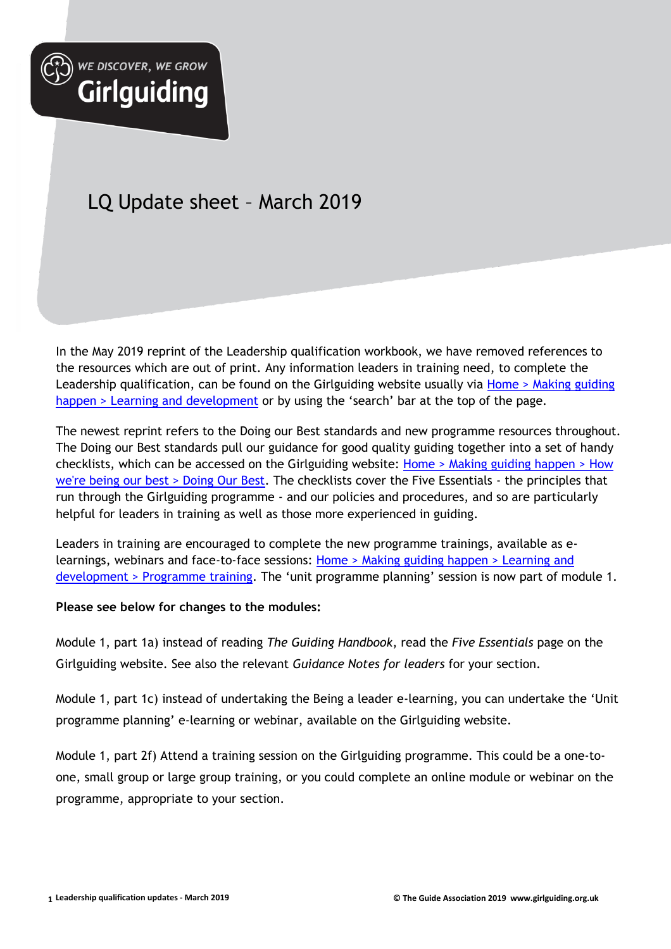

WE DISCOVER, WE GROW

**Girlguiding** 

## LQ Update sheet – March 2019

In the May 2019 reprint of the Leadership qualification workbook, we have removed references to the resources which are out of print. Any information leaders in training need, to complete the Leadership qualification, can be found on the Girlguiding website usually via Home > Making guiding [happen > Learning and development](https://www.girlguiding.org.uk/making-guiding-happen/learning-and-development/a-safe-space-training/a-safe-space-level-3--recognising-telling-and-taking-action/) or by using the 'search' bar at the top of the page.

The newest reprint refers to the Doing our Best standards and new programme resources throughout. The Doing our Best standards pull our guidance for good quality guiding together into a set of handy checklists, which can be accessed on the Girlguiding website: [Home > Making guiding happen > How](https://www.girlguiding.org.uk/making-guiding-happen/how-were-being-our-best/doing-our-best/)  [we're being our best > Doing Our Best.](https://www.girlguiding.org.uk/making-guiding-happen/how-were-being-our-best/doing-our-best/) The checklists cover the Five Essentials - the principles that run through the Girlguiding programme - and our policies and procedures, and so are particularly helpful for leaders in training as well as those more experienced in guiding.

Leaders in training are encouraged to complete the new programme trainings, available as elearnings, webinars and face-to-face sessions: Home [> Making guiding happen > Learning and](https://www.girlguiding.org.uk/making-guiding-happen/learning-and-development/programme-training/)  [development > Programme training](https://www.girlguiding.org.uk/making-guiding-happen/learning-and-development/programme-training/). The 'unit programme planning' session is now part of module 1.

## **Please see below for changes to the modules:**

Module 1, part 1a) instead of reading *The Guiding Handbook*, read the *Five Essentials* page on the Girlguiding website. See also the relevant *Guidance Notes for leaders* for your section.

Module 1, part 1c) instead of undertaking the Being a leader e-learning, you can undertake the 'Unit programme planning' e-learning or webinar, available on the Girlguiding website.

Module 1, part 2f) Attend a training session on the Girlguiding programme. This could be a one-toone, small group or large group training, or you could complete an online module or webinar on the programme, appropriate to your section.